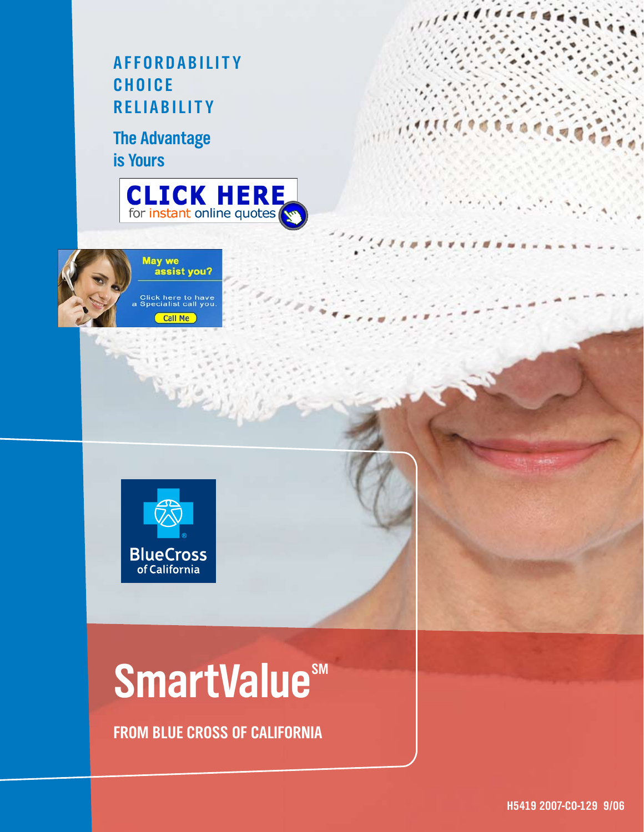### **A F F O R D A B I L I T Y C H O I C E R E L I A B I L I T Y**

**The Advantage is Yours**







### **SmartValue**sM

**FROM BLUE CROSS OF CALIFORNIA**

 $\sigma$   $\alpha$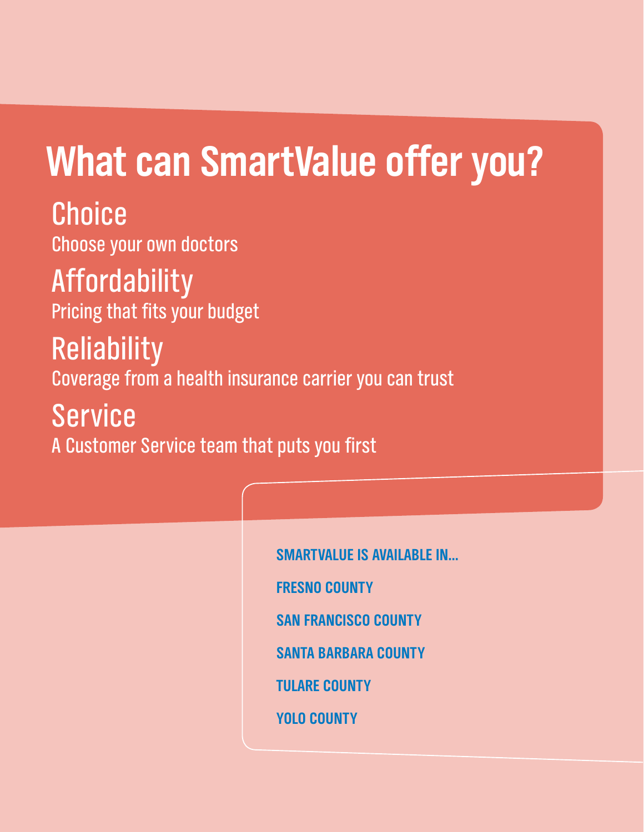### **What can SmartValue offer you?**

**Choice** Choose your own doctors

**Affordability** Pricing that fits your budget

**Reliability** Coverage from a health insurance carrier you can trust

Service A Customer Service team that puts you first

> **SmartValue is Available in… Fresno County San Francisco County Santa Barbara County Tulare County Yolo County**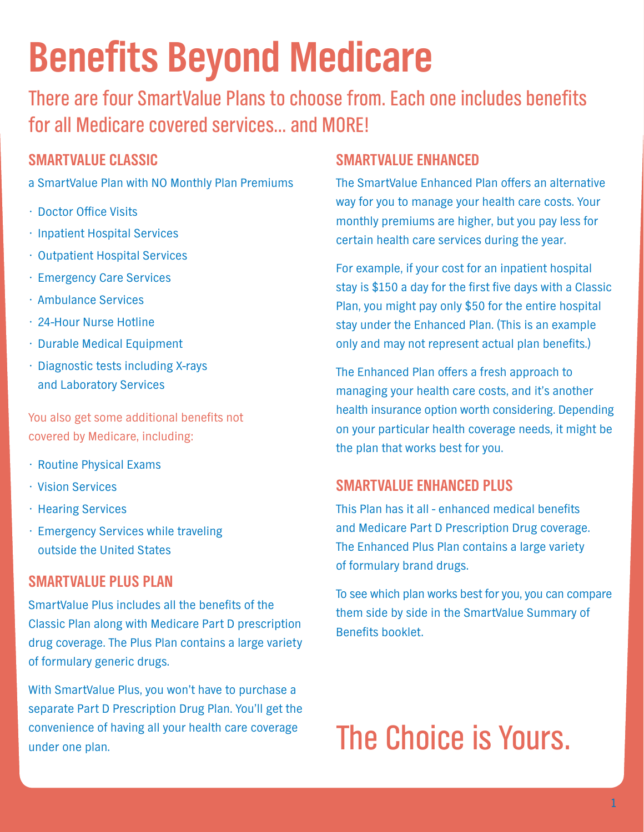### **Benefits Beyond Medicare**

There are four SmartValue Plans to choose from. Each one includes benefits for all Medicare covered services… and MORE!

#### **SmartValue Classic**

- a SmartValue Plan with NO Monthly Plan Premiums
- Doctor Office Visits
- Inpatient Hospital Services
- Outpatient Hospital Services
- Emergency Care Services
- Ambulance Services
- 24-Hour Nurse Hotline
- Durable Medical Equipment
- Diagnostic tests including X-rays and Laboratory Services

You also get some additional benefits not covered by Medicare, including:

- Routine Physical Exams
- Vision Services
- Hearing Services
- Emergency Services while traveling outside the United States

#### **SmartValue Plus Plan**

SmartValue Plus includes all the benefits of the Classic Plan along with Medicare Part D prescription drug coverage. The Plus Plan contains a large variety of formulary generic drugs.

With SmartValue Plus, you won't have to purchase a separate Part D Prescription Drug Plan. You'll get the convenience of having all your health care coverage under one plan.

#### **SmartValue Enhanced**

The SmartValue Enhanced Plan offers an alternative way for you to manage your health care costs. Your monthly premiums are higher, but you pay less for certain health care services during the year.

For example, if your cost for an inpatient hospital stay is \$150 a day for the first five days with a Classic Plan, you might pay only \$50 for the entire hospital stay under the Enhanced Plan. (This is an example only and may not represent actual plan benefits.)

The Enhanced Plan offers a fresh approach to managing your health care costs, and it's another health insurance option worth considering. Depending on your particular health coverage needs, it might be the plan that works best for you.

#### **SmartValue Enhanced Plus**

This Plan has it all - enhanced medical benefits and Medicare Part D Prescription Drug coverage. The Enhanced Plus Plan contains a large variety of formulary brand drugs.

To see which plan works best for you, you can compare them side by side in the SmartValue Summary of Benefits booklet.

### The Choice is Yours.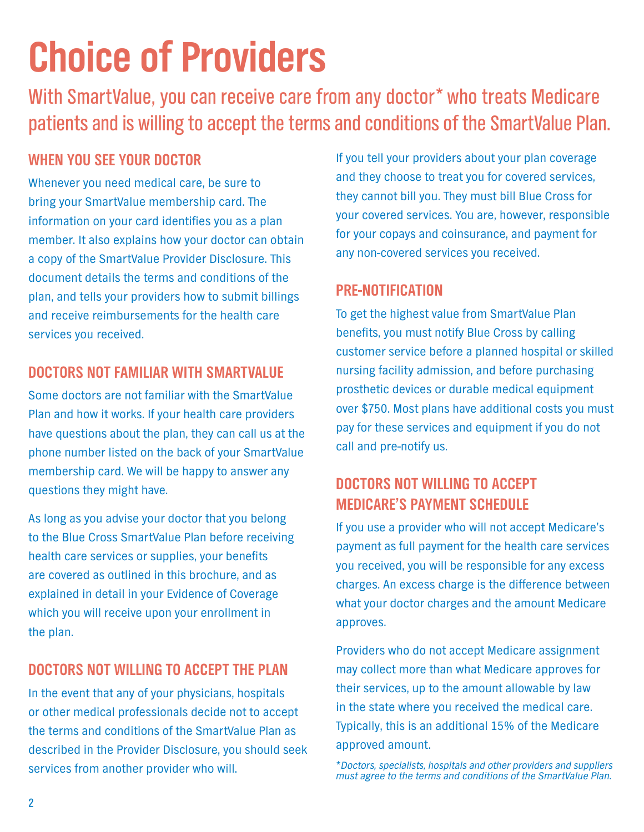## **Choice of Providers**

With SmartValue, you can receive care from any doctor\* who treats Medicare patients and is willing to accept the terms and conditions of the SmartValue Plan.

#### **When You See Your Doctor**

Whenever you need medical care, be sure to bring your SmartValue membership card. The information on your card identifies you as a plan member. It also explains how your doctor can obtain a copy of the SmartValue Provider Disclosure. This document details the terms and conditions of the plan, and tells your providers how to submit billings and receive reimbursements for the health care services you received.

#### **Doctors Not Familiar with SmartValue**

Some doctors are not familiar with the SmartValue Plan and how it works. If your health care providers have questions about the plan, they can call us at the phone number listed on the back of your SmartValue membership card. We will be happy to answer any questions they might have.

As long as you advise your doctor that you belong to the Blue Cross SmartValue Plan before receiving health care services or supplies, your benefits are covered as outlined in this brochure, and as explained in detail in your Evidence of Coverage which you will receive upon your enrollment in the plan.

#### **Doctors Not Willing to Accept the Plan**

In the event that any of your physicians, hospitals or other medical professionals decide not to accept the terms and conditions of the SmartValue Plan as described in the Provider Disclosure, you should seek services from another provider who will.

If you tell your providers about your plan coverage and they choose to treat you for covered services, they cannot bill you. They must bill Blue Cross for your covered services. You are, however, responsible for your copays and coinsurance, and payment for any non-covered services you received.

#### **Pre-Notification**

To get the highest value from SmartValue Plan benefits, you must notify Blue Cross by calling customer service before a planned hospital or skilled nursing facility admission, and before purchasing prosthetic devices or durable medical equipment over \$750. Most plans have additional costs you must pay for these services and equipment if you do not call and pre-notify us.

#### **Doctors Not Willing to Accept Medicare's Payment Schedule**

If you use a provider who will not accept Medicare's payment as full payment for the health care services you received, you will be responsible for any excess charges. An excess charge is the difference between what your doctor charges and the amount Medicare approves.

Providers who do not accept Medicare assignment may collect more than what Medicare approves for their services, up to the amount allowable by law in the state where you received the medical care. Typically, this is an additional 15% of the Medicare approved amount.

*\*Doctors, specialists, hospitals and other providers and suppliers must agree to the terms and conditions of the SmartValue Plan.*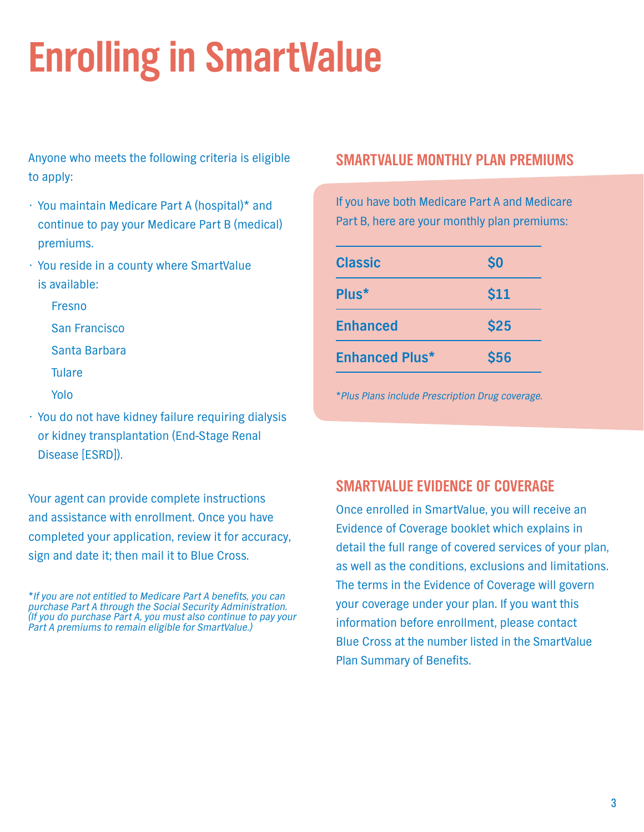# **Enrolling in SmartValue**

Anyone who meets the following criteria is eligible to apply:

- You maintain Medicare Part A (hospital)\* and continue to pay your Medicare Part B (medical) premiums.
- You reside in a county where SmartValue is available:

 Fresno San Francisco Santa Barbara

Tulare

Yolo

• You do not have kidney failure requiring dialysis or kidney transplantation (End-Stage Renal Disease [ESRD]).

Your agent can provide complete instructions and assistance with enrollment. Once you have completed your application, review it for accuracy, sign and date it; then mail it to Blue Cross.

*\*If you are not entitled to Medicare Part A benefits, you can purchase Part A through the Social Security Administration. (If you do purchase Part A, you must also continue to pay your Part A premiums to remain eligible for SmartValue.)* 

#### **smartvalue monthly plan premiums**

If you have both Medicare Part A and Medicare Part B, here are your monthly plan premiums:

| <b>Classic</b>        | $\boldsymbol{\mathsf{S}}$ |
|-----------------------|---------------------------|
| Plus*                 | \$11                      |
| <b>Enhanced</b>       | <b>\$25</b>               |
| <b>Enhanced Plus*</b> | <b>\$56</b>               |

*\*Plus Plans include Prescription Drug coverage.*

#### **SmartValue Evidence of Coverage**

Once enrolled in SmartValue, you will receive an Evidence of Coverage booklet which explains in detail the full range of covered services of your plan, as well as the conditions, exclusions and limitations. The terms in the Evidence of Coverage will govern your coverage under your plan. If you want this information before enrollment, please contact Blue Cross at the number listed in the SmartValue Plan Summary of Benefits.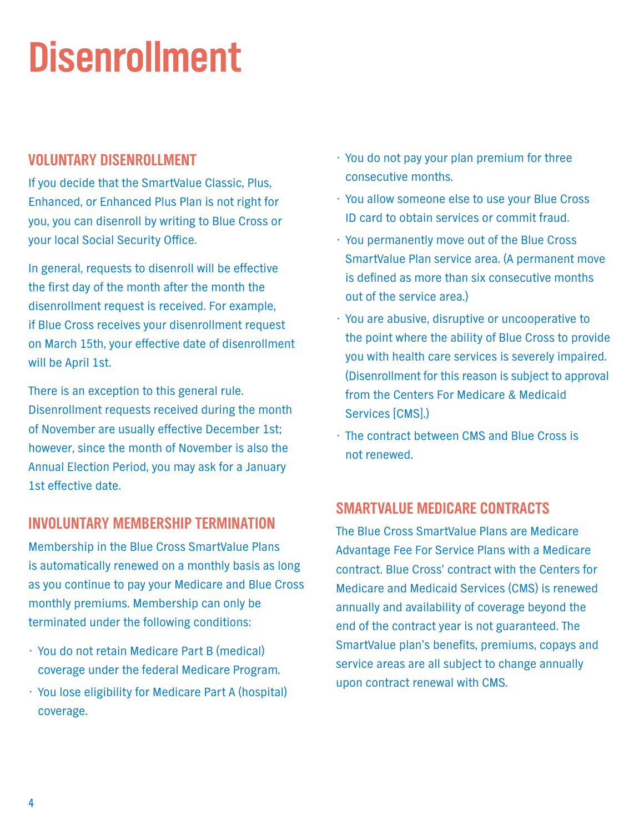## **Disenrollment**

#### **Voluntary Disenrollment**

If you decide that the SmartValue Classic, Plus, Enhanced, or Enhanced Plus Plan is not right for you, you can disenroll by writing to Blue Cross or your local Social Security Office.

In general, requests to disenroll will be effective the first day of the month after the month the disenrollment request is received. For example, if Blue Cross receives your disenrollment request on March 15th, your effective date of disenrollment will be April 1st.

There is an exception to this general rule. Disenrollment requests received during the month of November are usually effective December 1st; however, since the month of November is also the Annual Election Period, you may ask for a January 1st effective date.

#### **INVOLUNTARY MEMBERSHIP TERMINATION**

Membership in the Blue Cross SmartValue Plans is automatically renewed on a monthly basis as long as you continue to pay your Medicare and Blue Cross monthly premiums. Membership can only be terminated under the following conditions:

- You do not retain Medicare Part B (medical) coverage under the federal Medicare Program.
- You lose eligibility for Medicare Part A (hospital) coverage.
- You do not pay your plan premium for three consecutive months.
- You allow someone else to use your Blue Cross ID card to obtain services or commit fraud.
- You permanently move out of the Blue Cross SmartValue Plan service area. (A permanent move is defined as more than six consecutive months out of the service area.)
- You are abusive, disruptive or uncooperative to the point where the ability of Blue Cross to provide you with health care services is severely impaired. (Disenrollment for this reason is subject to approval from the Centers For Medicare & Medicaid Services [CMS].)
- The contract between CMS and Blue Cross is not renewed.

#### **SmartValue Medicare Contracts**

The Blue Cross SmartValue Plans are Medicare Advantage Fee For Service Plans with a Medicare contract. Blue Cross' contract with the Centers for Medicare and Medicaid Services (CMS) is renewed annually and availability of coverage beyond the end of the contract year is not guaranteed. The SmartValue plan's benefits, premiums, copays and service areas are all subject to change annually upon contract renewal with CMS.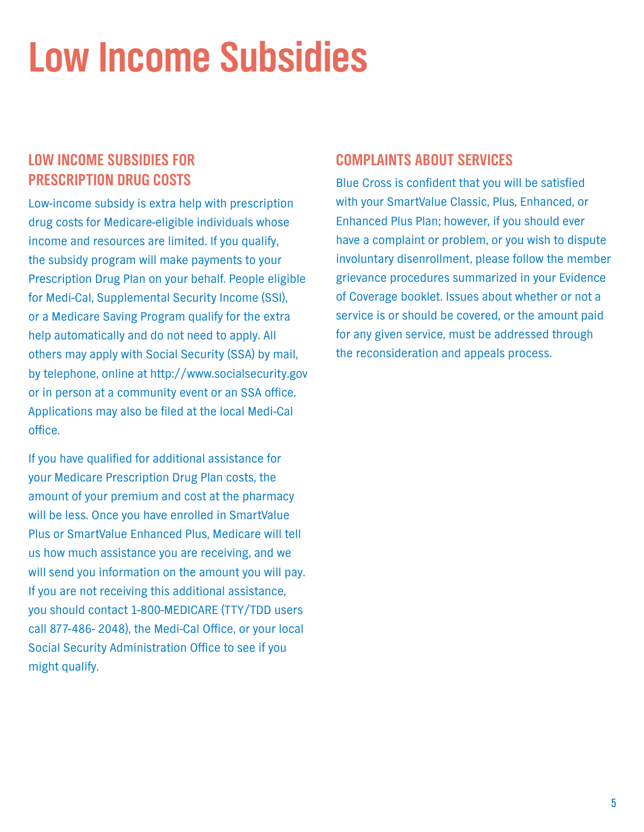### **Low Income Subsidies**

#### **Low Income Subsidies for Prescription Drug Costs**

Low-income subsidy is extra help with prescription drug costs for Medicare-eligible individuals whose income and resources are limited. If you qualify, the subsidy program will make payments to your Prescription Drug Plan on your behalf. People eligible for Medi-Cal, Supplemental Security Income (SSI), or a Medicare Saving Program qualify for the extra help automatically and do not need to apply. All others may apply with Social Security (SSA) by mail, by telephone, online at http://www.socialsecurity.gov or in person at a community event or an SSA office. Applications may also be filed at the local Medi-Cal office.

If you have qualified for additional assistance for your Medicare Prescription Drug Plan costs, the amount of your premium and cost at the pharmacy will be less. Once you have enrolled in SmartValue Plus or SmartValue Enhanced Plus, Medicare will tell us how much assistance you are receiving, and we will send you information on the amount you will pay. If you are not receiving this additional assistance, you should contact 1-800-MEDICARE (TTY/TDD users call 877-486- 2048), the Medi-Cal Office, or your local Social Security Administration Office to see if you might qualify.

#### **Complaints About Services**

Blue Cross is confident that you will be satisfied with your SmartValue Classic, Plus, Enhanced, or Enhanced Plus Plan; however, if you should ever have a complaint or problem, or you wish to dispute involuntary disenrollment, please follow the member grievance procedures summarized in your Evidence of Coverage booklet. Issues about whether or not a service is or should be covered, or the amount paid for any given service, must be addressed through the reconsideration and appeals process.